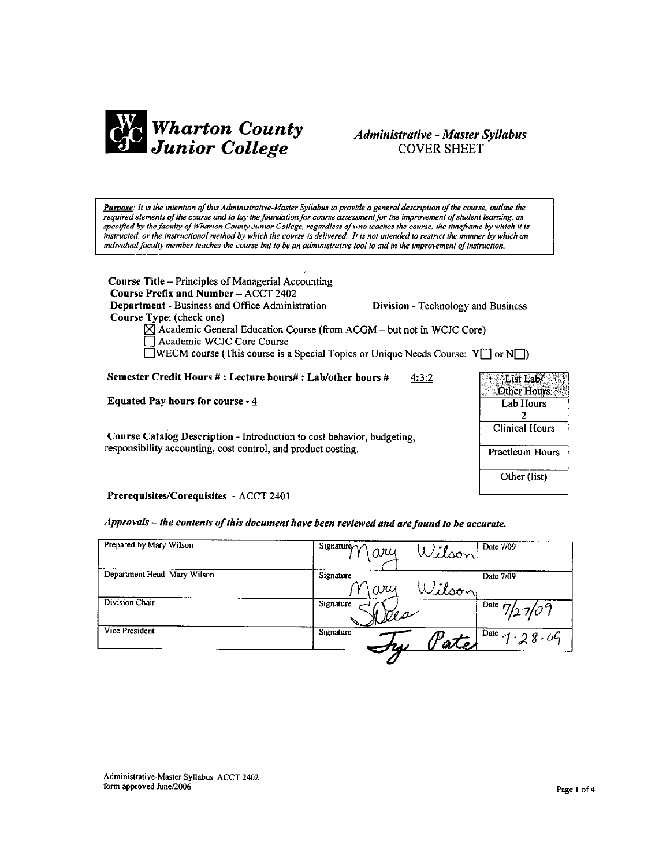

### **Administrative - Master Syllabus COVER SHEET**

Purpose: It is the intention of this Administrative-Master Syllabus to provide a general description of the course, outline the required elements of the course and to lay the foundation for course assessment for the improvement of student learning, as specified by the faculty of Wharton County Junior College, regardless of who teaches the course, the timeframe by which it is instructed, or the instructional method by which the course is delivered. It is not intended to restrict the manner by which an individual faculty member teaches the course but to be an administrative tool to aid in the improvement of instruction.

Course Title - Principles of Managerial Accounting Course Prefix and Number - ACCT 2402 Department - Business and Office Administration Division - Technology and Business Course Type: (check one)  $\boxtimes$  Academic General Education Course (from ACGM - but not in WCJC Core) Academic WCJC Core Course **NECM** course (This course is a Special Topics or Unique Needs Course:  $Y \cap Y$  or  $N \cap Y$ Semester Credit Hours #: Lecture hours#: Lab/other hours #  $4:3:2$ List Lab/ Equated Pay hours for course -  $4$  $\overline{2}$ Course Catalog Description - Introduction to cost behavior, budgeting,

responsibility accounting, cost control, and product costing.



Prerequisites/Corequisites - ACCT 2401

Approvals - the contents of this document have been reviewed and are found to be accurate.

| Prepared by Mary Wilson     | Signature $\curvearrowright \curvearrowright$<br>Wilson<br>aщ | Date 7/09              |
|-----------------------------|---------------------------------------------------------------|------------------------|
| Department Head Mary Wilson | Signature<br>Wilson<br>ary                                    | Date 7/09              |
| Division Chair              | Signature<br>$\overline{\mathbb{M}}$ e a                      | $1^{2}$ Date $7/27/09$ |
| Vice President              | Signature<br>$\mathscr{A}$                                    | $1^{Date}$ 1 - 28 - 06 |
|                             |                                                               |                        |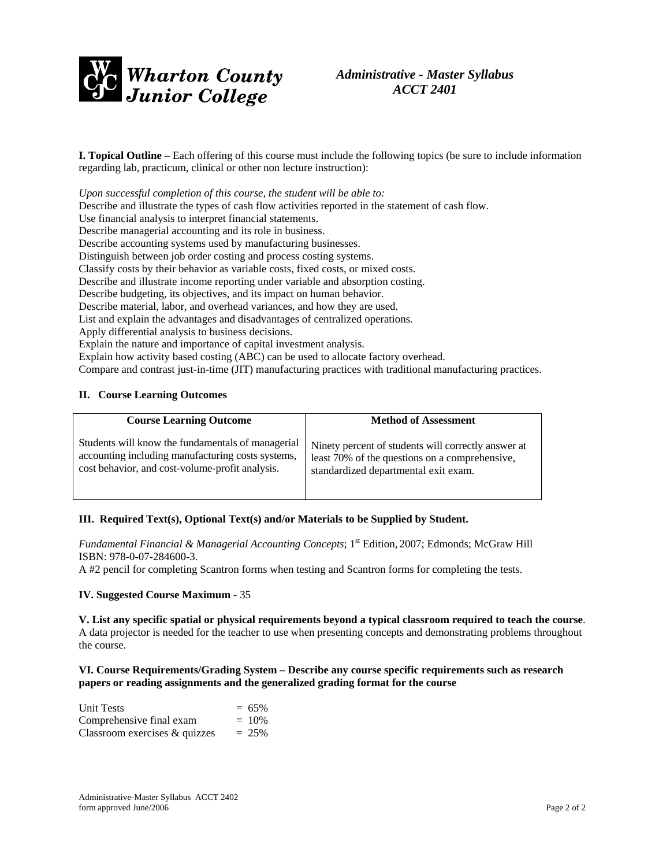

## *Administrative - Master Syllabus ACCT 2401*

**I. Topical Outline** – Each offering of this course must include the following topics (be sure to include information regarding lab, practicum, clinical or other non lecture instruction):

*Upon successful completion of this course, the student will be able to:*  Describe and illustrate the types of cash flow activities reported in the statement of cash flow. Use financial analysis to interpret financial statements. Describe managerial accounting and its role in business. Describe accounting systems used by manufacturing businesses. Distinguish between job order costing and process costing systems. Classify costs by their behavior as variable costs, fixed costs, or mixed costs. Describe and illustrate income reporting under variable and absorption costing. Describe budgeting, its objectives, and its impact on human behavior. Describe material, labor, and overhead variances, and how they are used. List and explain the advantages and disadvantages of centralized operations. Apply differential analysis to business decisions. Explain the nature and importance of capital investment analysis. Explain how activity based costing (ABC) can be used to allocate factory overhead. Compare and contrast just-in-time (JIT) manufacturing practices with traditional manufacturing practices.

#### **II. Course Learning Outcomes**

| <b>Course Learning Outcome</b>                    | <b>Method of Assessment</b>                         |
|---------------------------------------------------|-----------------------------------------------------|
| Students will know the fundamentals of managerial | Ninety percent of students will correctly answer at |
| accounting including manufacturing costs systems, | least 70% of the questions on a comprehensive,      |
| cost behavior, and cost-volume-profit analysis.   | standardized departmental exit exam.                |

#### **III. Required Text(s), Optional Text(s) and/or Materials to be Supplied by Student.**

*Fundamental Financial & Managerial Accounting Concepts*; 1<sup>st</sup> Edition, 2007; Edmonds; McGraw Hill ISBN: 978-0-07-284600-3.

A #2 pencil for completing Scantron forms when testing and Scantron forms for completing the tests.

#### **IV. Suggested Course Maximum** - 35

**V. List any specific spatial or physical requirements beyond a typical classroom required to teach the course**. A data projector is needed for the teacher to use when presenting concepts and demonstrating problems throughout the course.

#### **VI. Course Requirements/Grading System – Describe any course specific requirements such as research papers or reading assignments and the generalized grading format for the course**

| <b>Unit Tests</b>                | $= 65\%$ |
|----------------------------------|----------|
| Comprehensive final exam         | $= 10\%$ |
| Classroom exercises $\&$ quizzes | $= 25\%$ |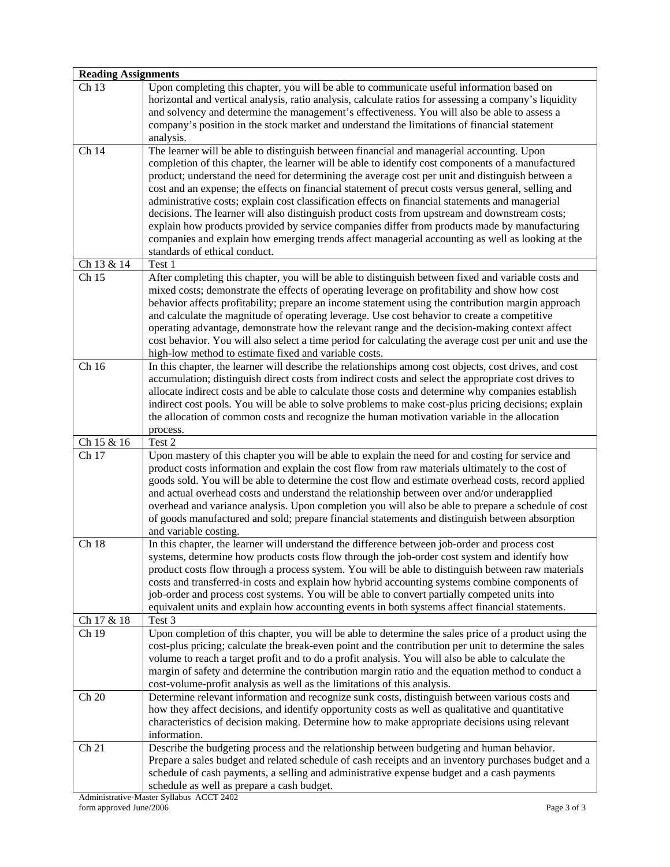|                     | <b>Reading Assignments</b>                                                                                                                                                                                                                                                                                                                                                                                                                                                                                                                                                                                                                                                                                                                                                                                                                             |  |  |
|---------------------|--------------------------------------------------------------------------------------------------------------------------------------------------------------------------------------------------------------------------------------------------------------------------------------------------------------------------------------------------------------------------------------------------------------------------------------------------------------------------------------------------------------------------------------------------------------------------------------------------------------------------------------------------------------------------------------------------------------------------------------------------------------------------------------------------------------------------------------------------------|--|--|
| Ch <sub>13</sub>    | Upon completing this chapter, you will be able to communicate useful information based on<br>horizontal and vertical analysis, ratio analysis, calculate ratios for assessing a company's liquidity<br>and solvency and determine the management's effectiveness. You will also be able to assess a<br>company's position in the stock market and understand the limitations of financial statement<br>analysis.                                                                                                                                                                                                                                                                                                                                                                                                                                       |  |  |
| Ch 14               | The learner will be able to distinguish between financial and managerial accounting. Upon<br>completion of this chapter, the learner will be able to identify cost components of a manufactured<br>product; understand the need for determining the average cost per unit and distinguish between a<br>cost and an expense; the effects on financial statement of precut costs versus general, selling and<br>administrative costs; explain cost classification effects on financial statements and managerial<br>decisions. The learner will also distinguish product costs from upstream and downstream costs;<br>explain how products provided by service companies differ from products made by manufacturing<br>companies and explain how emerging trends affect managerial accounting as well as looking at the<br>standards of ethical conduct. |  |  |
| Ch 13 & 14          | Test 1                                                                                                                                                                                                                                                                                                                                                                                                                                                                                                                                                                                                                                                                                                                                                                                                                                                 |  |  |
| Ch <sub>15</sub>    | After completing this chapter, you will be able to distinguish between fixed and variable costs and<br>mixed costs; demonstrate the effects of operating leverage on profitability and show how cost<br>behavior affects profitability; prepare an income statement using the contribution margin approach<br>and calculate the magnitude of operating leverage. Use cost behavior to create a competitive<br>operating advantage, demonstrate how the relevant range and the decision-making context affect<br>cost behavior. You will also select a time period for calculating the average cost per unit and use the<br>high-low method to estimate fixed and variable costs.                                                                                                                                                                       |  |  |
| Ch 16               | In this chapter, the learner will describe the relationships among cost objects, cost drives, and cost<br>accumulation; distinguish direct costs from indirect costs and select the appropriate cost drives to<br>allocate indirect costs and be able to calculate those costs and determine why companies establish<br>indirect cost pools. You will be able to solve problems to make cost-plus pricing decisions; explain<br>the allocation of common costs and recognize the human motivation variable in the allocation<br>process.                                                                                                                                                                                                                                                                                                               |  |  |
| Ch 15 & 16          | Test 2                                                                                                                                                                                                                                                                                                                                                                                                                                                                                                                                                                                                                                                                                                                                                                                                                                                 |  |  |
| Ch 17               | Upon mastery of this chapter you will be able to explain the need for and costing for service and<br>product costs information and explain the cost flow from raw materials ultimately to the cost of<br>goods sold. You will be able to determine the cost flow and estimate overhead costs, record applied<br>and actual overhead costs and understand the relationship between over and/or underapplied<br>overhead and variance analysis. Upon completion you will also be able to prepare a schedule of cost<br>of goods manufactured and sold; prepare financial statements and distinguish between absorption<br>and variable costing.                                                                                                                                                                                                          |  |  |
| Ch 18<br>Ch 17 & 18 | In this chapter, the learner will understand the difference between job-order and process cost<br>systems, determine how products costs flow through the job-order cost system and identify how<br>product costs flow through a process system. You will be able to distinguish between raw materials<br>costs and transferred-in costs and explain how hybrid accounting systems combine components of<br>job-order and process cost systems. You will be able to convert partially competed units into<br>equivalent units and explain how accounting events in both systems affect financial statements.<br>Test 3                                                                                                                                                                                                                                  |  |  |
| Ch 19               | Upon completion of this chapter, you will be able to determine the sales price of a product using the                                                                                                                                                                                                                                                                                                                                                                                                                                                                                                                                                                                                                                                                                                                                                  |  |  |
|                     | cost-plus pricing; calculate the break-even point and the contribution per unit to determine the sales<br>volume to reach a target profit and to do a profit analysis. You will also be able to calculate the<br>margin of safety and determine the contribution margin ratio and the equation method to conduct a<br>cost-volume-profit analysis as well as the limitations of this analysis.                                                                                                                                                                                                                                                                                                                                                                                                                                                         |  |  |
| Ch 20               | Determine relevant information and recognize sunk costs, distinguish between various costs and<br>how they affect decisions, and identify opportunity costs as well as qualitative and quantitative<br>characteristics of decision making. Determine how to make appropriate decisions using relevant<br>information.                                                                                                                                                                                                                                                                                                                                                                                                                                                                                                                                  |  |  |
| Ch 21               | Describe the budgeting process and the relationship between budgeting and human behavior.<br>Prepare a sales budget and related schedule of cash receipts and an inventory purchases budget and a<br>schedule of cash payments, a selling and administrative expense budget and a cash payments<br>schedule as well as prepare a cash budget.                                                                                                                                                                                                                                                                                                                                                                                                                                                                                                          |  |  |